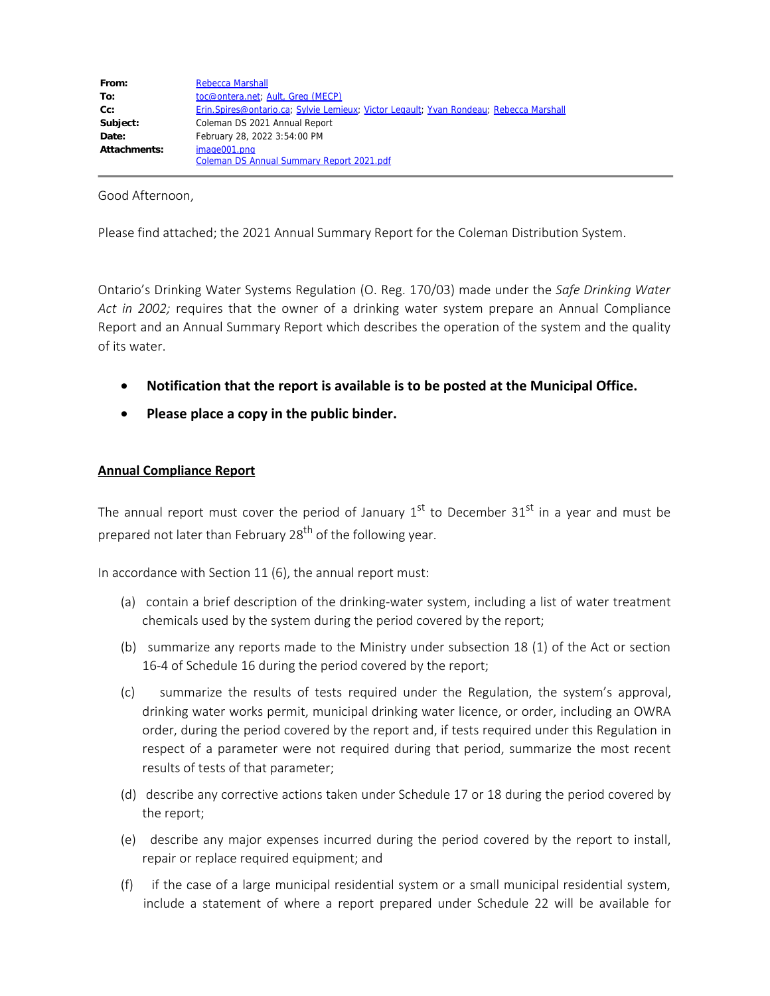| From:        | <b>Rebecca Marshall</b>                                                                |
|--------------|----------------------------------------------------------------------------------------|
| To:          | toc@ontera.net; Ault, Greg (MECP)                                                      |
| $Cc$ :       | Erin.Spires@ontario.ca; Sylvie Lemieux; Victor Legault; Yvan Rondeau; Rebecca Marshall |
| Subject:     | Coleman DS 2021 Annual Report                                                          |
| Date:        | February 28, 2022 3:54:00 PM                                                           |
| Attachments: | image001.png<br>Coleman DS Annual Summary Report 2021.pdf                              |

Good Afternoon,

Please find attached; the 2021 Annual Summary Report for the Coleman Distribution System.

Ontario's Drinking Water Systems Regulation (O. Reg. 170/03) made under the *Safe Drinking Water Act in 2002;* requires that the owner of a drinking water system prepare an Annual Compliance Report and an Annual Summary Report which describes the operation of the system and the quality of its water.

- · **Notification that the report is available is to be posted at the Municipal Office.**
- · **Please place a copy in the public binder.**

### **Annual Compliance Report**

The annual report must cover the period of January  $1^{st}$  to December  $31^{st}$  in a year and must be prepared not later than February 28<sup>th</sup> of the following year.

In accordance with Section 11 (6), the annual report must:

- (a) contain a brief description of the drinking-water system, including a list of water treatment chemicals used by the system during the period covered by the report;
- (b) summarize any reports made to the Ministry under subsection 18 (1) of the Act or section 16-4 of Schedule 16 during the period covered by the report;
- (c) summarize the results of tests required under the Regulation, the system's approval, drinking water works permit, municipal drinking water licence, or order, including an OWRA order, during the period covered by the report and, if tests required under this Regulation in respect of a parameter were not required during that period, summarize the most recent results of tests of that parameter;
- (d) describe any corrective actions taken under Schedule 17 or 18 during the period covered by the report;
- (e) describe any major expenses incurred during the period covered by the report to install, repair or replace required equipment; and
- (f) if the case of a large municipal residential system or a small municipal residential system, include a statement of where a report prepared under Schedule 22 will be available for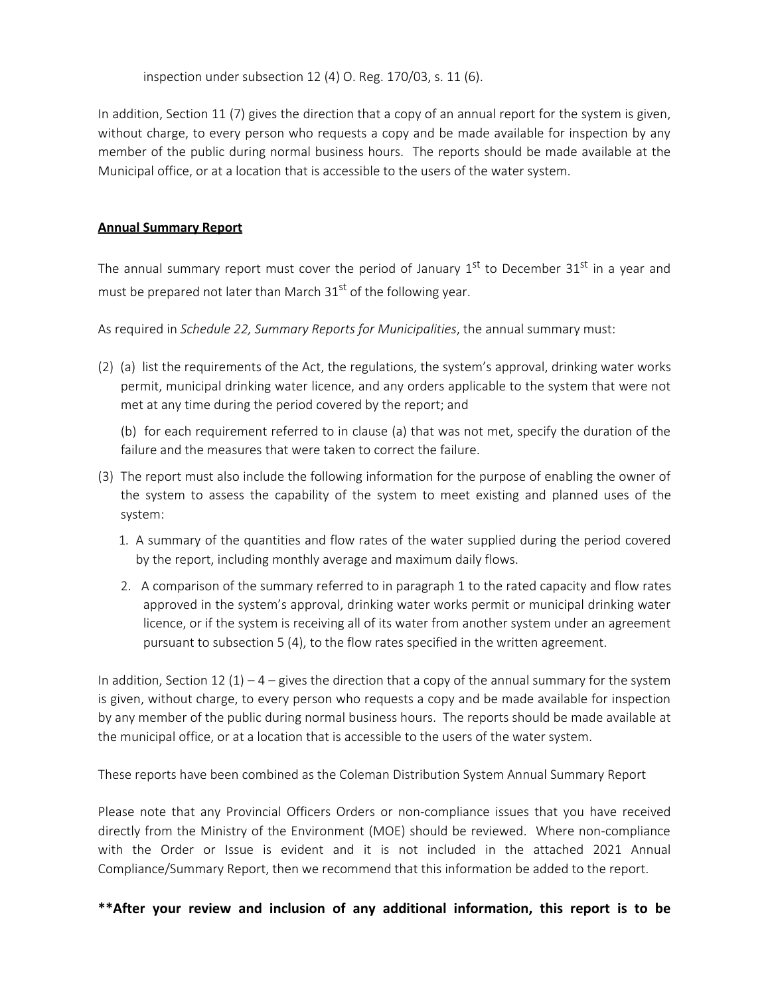inspection under subsection 12 (4) O. Reg. 170/03, s. 11 (6).

In addition, Section 11 (7) gives the direction that a copy of an annual report for the system is given, without charge, to every person who requests a copy and be made available for inspection by any member of the public during normal business hours. The reports should be made available at the Municipal office, or at a location that is accessible to the users of the water system.

## **Annual Summary Report**

The annual summary report must cover the period of January  $1<sup>st</sup>$  to December 31<sup>st</sup> in a year and must be prepared not later than March  $31<sup>st</sup>$  of the following year.

As required in *Schedule 22, Summary Reports for Municipalities*, the annual summary must:

(2) (a) list the requirements of the Act, the regulations, the system's approval, drinking water works permit, municipal drinking water licence, and any orders applicable to the system that were not met at any time during the period covered by the report; and

(b) for each requirement referred to in clause (a) that was not met, specify the duration of the failure and the measures that were taken to correct the failure.

- (3) The report must also include the following information for the purpose of enabling the owner of the system to assess the capability of the system to meet existing and planned uses of the system:
	- 1. A summary of the quantities and flow rates of the water supplied during the period covered by the report, including monthly average and maximum daily flows.
	- 2. A comparison of the summary referred to in paragraph 1 to the rated capacity and flow rates approved in the system's approval, drinking water works permit or municipal drinking water licence, or if the system is receiving all of its water from another system under an agreement pursuant to subsection 5 (4), to the flow rates specified in the written agreement.

In addition, Section 12 (1) – 4 – gives the direction that a copy of the annual summary for the system is given, without charge, to every person who requests a copy and be made available for inspection by any member of the public during normal business hours. The reports should be made available at the municipal office, or at a location that is accessible to the users of the water system.

These reports have been combined as the Coleman Distribution System Annual Summary Report

Please note that any Provincial Officers Orders or non-compliance issues that you have received directly from the Ministry of the Environment (MOE) should be reviewed. Where non-compliance with the Order or Issue is evident and it is not included in the attached 2021 Annual Compliance/Summary Report, then we recommend that this information be added to the report.

**\*\*After your review and inclusion of any additional information, this report is to be**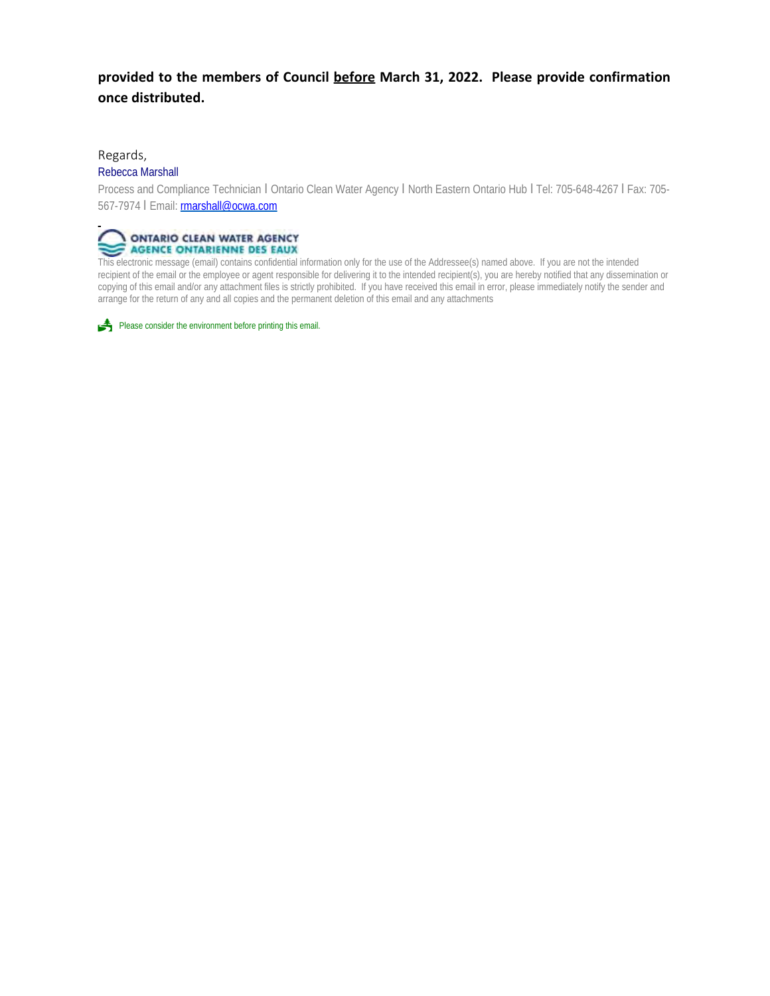## **provided to the members of Council before March 31, 2022. Please provide confirmation once distributed.**

#### Regards,

#### Rebecca Marshall

Process and Compliance Technician I Ontario Clean Water Agency I North Eastern Ontario Hub I Tel: 705-648-4267 I Fax: 705- 567-7974 | Email: **rmarshall@ocwa.com** 



This electronic message (email) contains confidential information only for the use of the Addressee(s) named above. If you are not the intended recipient of the email or the employee or agent responsible for delivering it to the intended recipient(s), you are hereby notified that any dissemination or copying of this email and/or any attachment files is strictly prohibited. If you have received this email in error, please immediately notify the sender and arrange for the return of any and all copies and the permanent deletion of this email and any attachments

Please consider the environment before printing this email.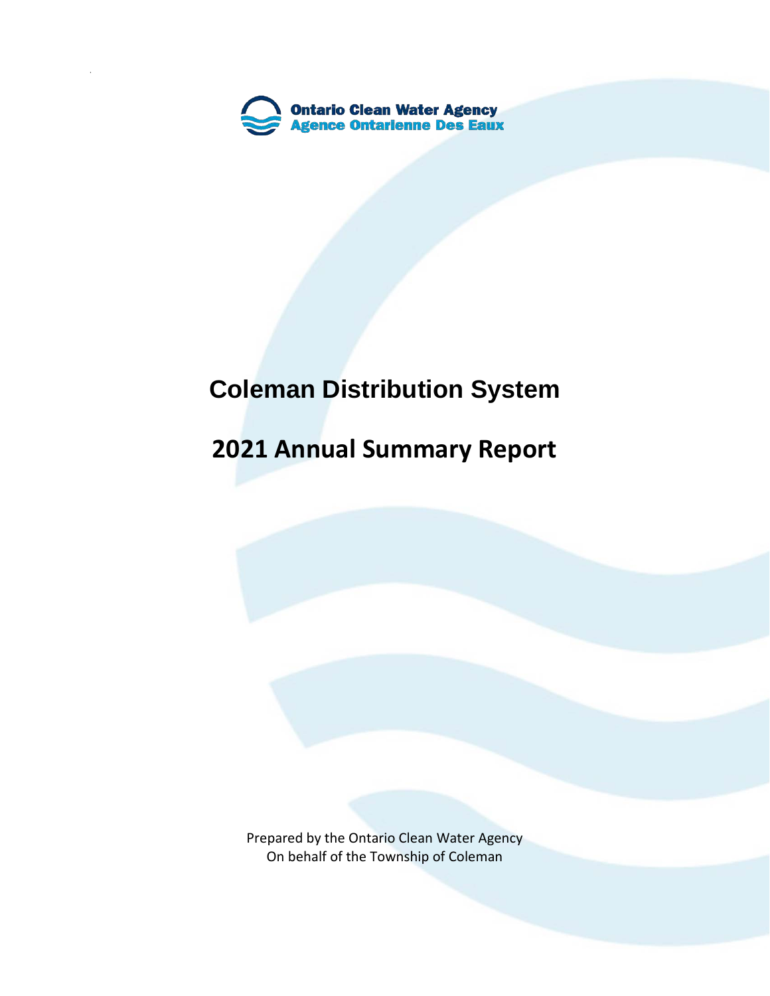

# **Coleman Distribution System**

## **2021 Annual Summary Report**

Prepared by the Ontario Clean Water Agency On behalf of the Township of Coleman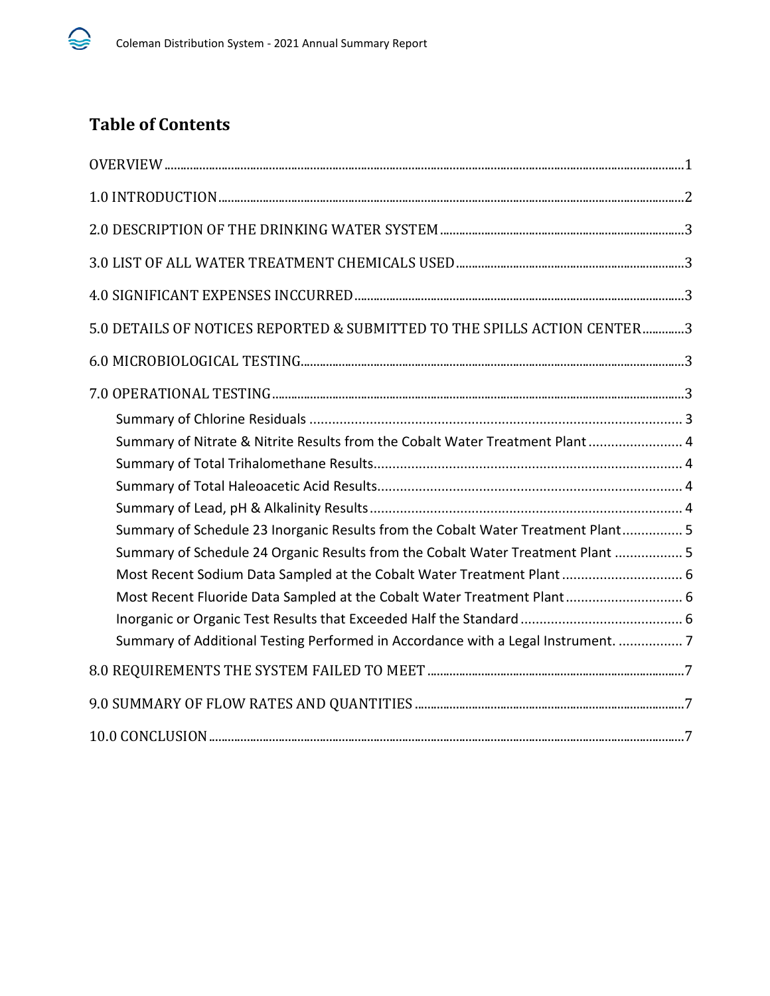

## **Table of Contents**

| 5.0 DETAILS OF NOTICES REPORTED & SUBMITTED TO THE SPILLS ACTION CENTER3          |  |
|-----------------------------------------------------------------------------------|--|
|                                                                                   |  |
|                                                                                   |  |
|                                                                                   |  |
| Summary of Nitrate & Nitrite Results from the Cobalt Water Treatment Plant 4      |  |
|                                                                                   |  |
|                                                                                   |  |
|                                                                                   |  |
| Summary of Schedule 23 Inorganic Results from the Cobalt Water Treatment Plant 5  |  |
| Summary of Schedule 24 Organic Results from the Cobalt Water Treatment Plant  5   |  |
| Most Recent Sodium Data Sampled at the Cobalt Water Treatment Plant  6            |  |
| Most Recent Fluoride Data Sampled at the Cobalt Water Treatment Plant 6           |  |
|                                                                                   |  |
| Summary of Additional Testing Performed in Accordance with a Legal Instrument.  7 |  |
|                                                                                   |  |
|                                                                                   |  |
|                                                                                   |  |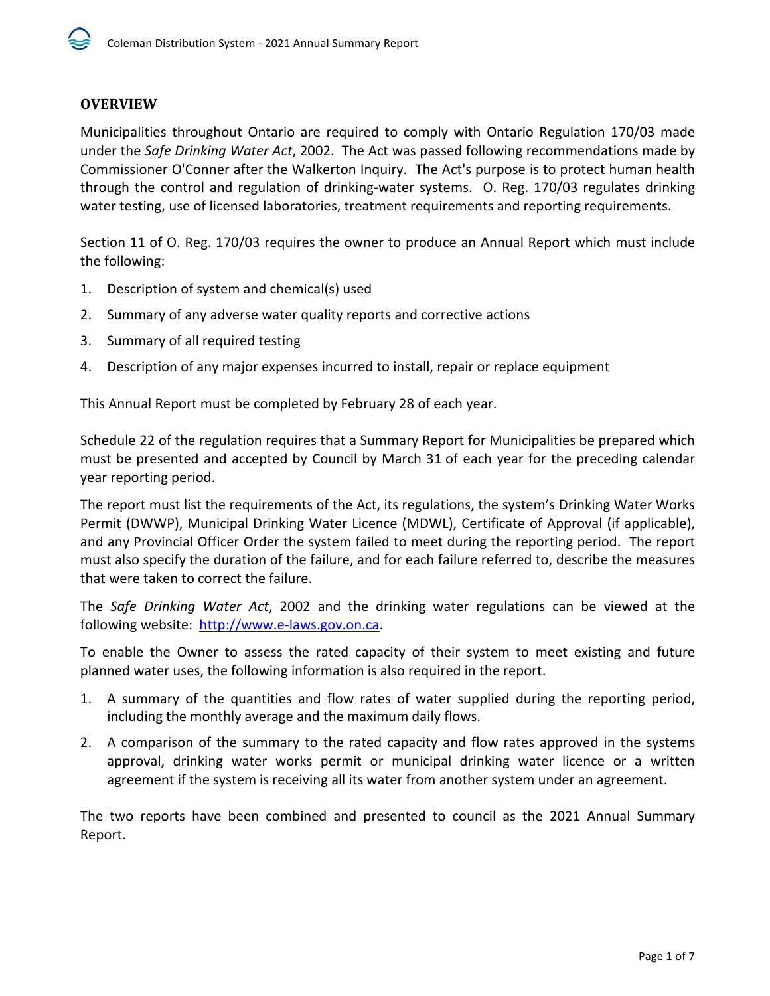## <span id="page-5-0"></span>**OVERVIEW**

Municipalities throughout Ontario are required to comply with Ontario Regulation 170/03 made under the *Safe Drinking Water Act*, 2002. The Act was passed following recommendations made by Commissioner O'Conner after the Walkerton Inquiry. The Act's purpose is to protect human health through the control and regulation of drinking-water systems. O. Reg. 170/03 regulates drinking water testing, use of licensed laboratories, treatment requirements and reporting requirements.

Section 11 of O. Reg. 170/03 requires the owner to produce an Annual Report which must include the following:

- 1. Description of system and chemical(s) used
- 2. Summary of any adverse water quality reports and corrective actions
- 3. Summary of all required testing
- 4. Description of any major expenses incurred to install, repair or replace equipment

This Annual Report must be completed by February 28 of each year.

Schedule 22 of the regulation requires that a Summary Report for Municipalities be prepared which must be presented and accepted by Council by March 31 of each year for the preceding calendar year reporting period.

The report must list the requirements of the Act, its regulations, the system's Drinking Water Works Permit (DWWP), Municipal Drinking Water Licence (MDWL), Certificate of Approval (if applicable), and any Provincial Officer Order the system failed to meet during the reporting period. The report must also specify the duration of the failure, and for each failure referred to, describe the measures that were taken to correct the failure.

The *Safe Drinking Water Act*, 2002 and the drinking water regulations can be viewed at the following website: [http://www.e-laws.gov.on.ca.](http://www.e-laws.gov.on.ca/)

To enable the Owner to assess the rated capacity of their system to meet existing and future planned water uses, the following information is also required in the report.

- 1. A summary of the quantities and flow rates of water supplied during the reporting period, including the monthly average and the maximum daily flows.
- 2. A comparison of the summary to the rated capacity and flow rates approved in the systems approval, drinking water works permit or municipal drinking water licence or a written agreement if the system is receiving all its water from another system under an agreement.

The two reports have been combined and presented to council as the 2021 Annual Summary Report.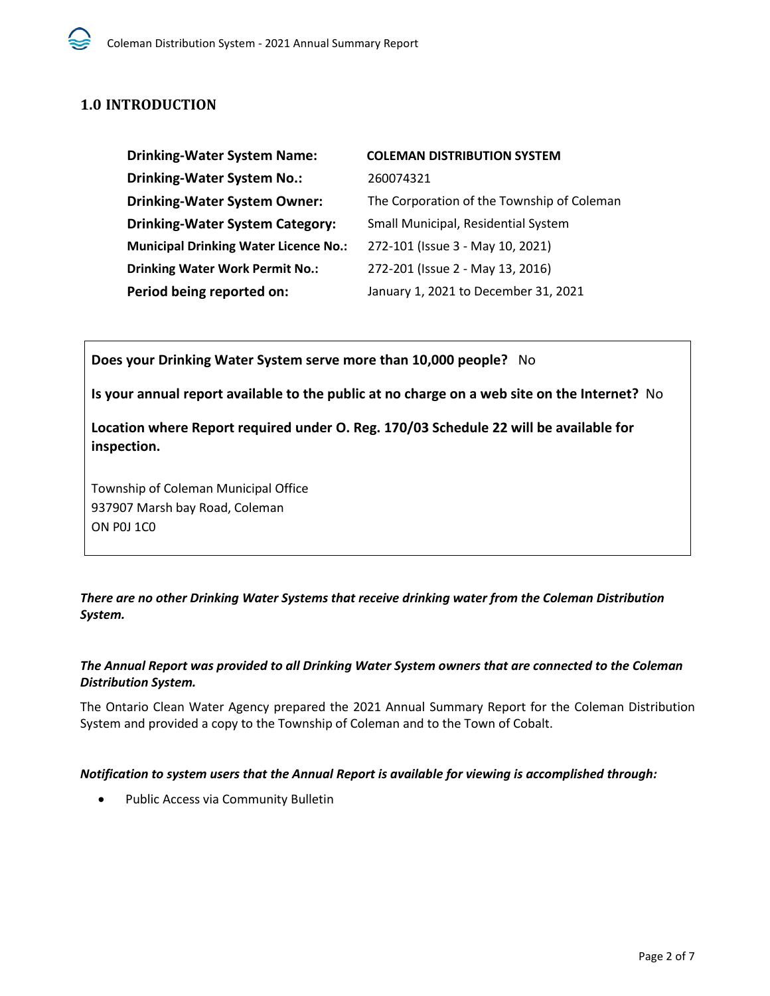## <span id="page-6-0"></span>**1.0 INTRODUCTION**

| <b>Drinking-Water System Name:</b>           | <b>COLEMAN DISTRIBUTION SYSTEM</b>         |
|----------------------------------------------|--------------------------------------------|
| <b>Drinking-Water System No.:</b>            | 260074321                                  |
| <b>Drinking-Water System Owner:</b>          | The Corporation of the Township of Coleman |
| <b>Drinking-Water System Category:</b>       | Small Municipal, Residential System        |
| <b>Municipal Drinking Water Licence No.:</b> | 272-101 (Issue 3 - May 10, 2021)           |
| <b>Drinking Water Work Permit No.:</b>       | 272-201 (Issue 2 - May 13, 2016)           |
| Period being reported on:                    | January 1, 2021 to December 31, 2021       |

**Does your Drinking Water System serve more than 10,000 people?** No

**Is your annual report available to the public at no charge on a web site on the Internet?** No

**Location where Report required under O. Reg. 170/03 Schedule 22 will be available for inspection.** 

Township of Coleman Municipal Office 937907 Marsh bay Road, Coleman ON P0J 1C0

*There are no other Drinking Water Systems that receive drinking water from the Coleman Distribution System.* 

#### *The Annual Report was provided to all Drinking Water System owners that are connected to the Coleman Distribution System.*

The Ontario Clean Water Agency prepared the 2021 Annual Summary Report for the Coleman Distribution System and provided a copy to the Township of Coleman and to the Town of Cobalt.

#### *Notification to system users that the Annual Report is available for viewing is accomplished through:*

• Public Access via Community Bulletin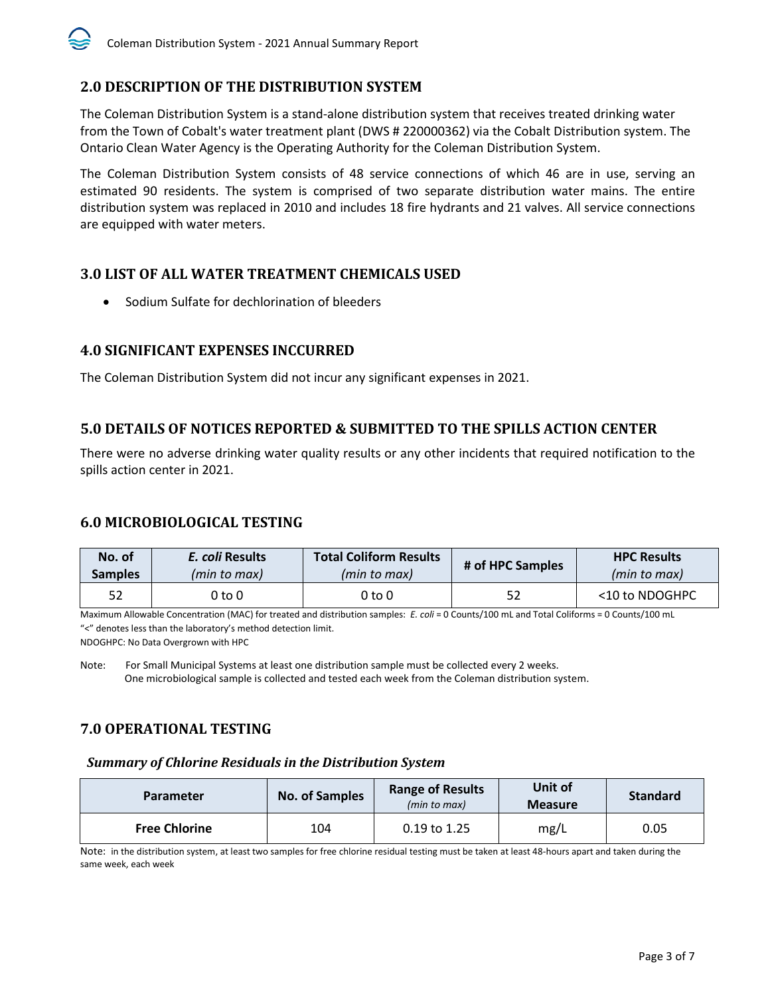## <span id="page-7-0"></span>**2.0 DESCRIPTION OF THE DISTRIBUTION SYSTEM**

The Coleman Distribution System is a stand-alone distribution system that receives treated drinking water from the Town of Cobalt's water treatment plant (DWS # 220000362) via the Cobalt Distribution system. The Ontario Clean Water Agency is the Operating Authority for the Coleman Distribution System.

The Coleman Distribution System consists of 48 service connections of which 46 are in use, serving an estimated 90 residents. The system is comprised of two separate distribution water mains. The entire distribution system was replaced in 2010 and includes 18 fire hydrants and 21 valves. All service connections are equipped with water meters.

## <span id="page-7-1"></span>**3.0 LIST OF ALL WATER TREATMENT CHEMICALS USED**

• Sodium Sulfate for dechlorination of bleeders

## <span id="page-7-2"></span>**4.0 SIGNIFICANT EXPENSES INCCURRED**

The Coleman Distribution System did not incur any significant expenses in 2021.

## <span id="page-7-3"></span>**5.0 DETAILS OF NOTICES REPORTED & SUBMITTED TO THE SPILLS ACTION CENTER**

There were no adverse drinking water quality results or any other incidents that required notification to the spills action center in 2021.

## <span id="page-7-4"></span>**6.0 MICROBIOLOGICAL TESTING**

| No. of         | E. coli Results | <b>Total Coliform Results</b> | # of HPC Samples | <b>HPC Results</b> |
|----------------|-----------------|-------------------------------|------------------|--------------------|
| <b>Samples</b> | (min to max)    | (min to max)                  |                  | (min to max)       |
| 52             | 0 to 0          | 0 to 0                        | 52               | <10 to NDOGHPC     |

Maximum Allowable Concentration (MAC) for treated and distribution samples: *E. coli* = 0 Counts/100 mL and Total Coliforms = 0 Counts/100 mL "<" denotes less than the laboratory's method detection limit.

NDOGHPC: No Data Overgrown with HPC

Note:For Small Municipal Systems at least one distribution sample must be collected every 2 weeks. One microbiological sample is collected and tested each week from the Coleman distribution system.

## <span id="page-7-5"></span>**7.0 OPERATIONAL TESTING**

#### <span id="page-7-6"></span>*Summary of Chlorine Residuals in the Distribution System*

| <b>Parameter</b>     | <b>No. of Samples</b> | <b>Range of Results</b><br>(min to max) | Unit of<br><b>Measure</b> | <b>Standard</b> |
|----------------------|-----------------------|-----------------------------------------|---------------------------|-----------------|
| <b>Free Chlorine</b> | 104                   | $0.19$ to 1.25                          | mg/L                      | 0.05            |

Note: in the distribution system, at least two samples for free chlorine residual testing must be taken at least 48-hours apart and taken during the same week, each week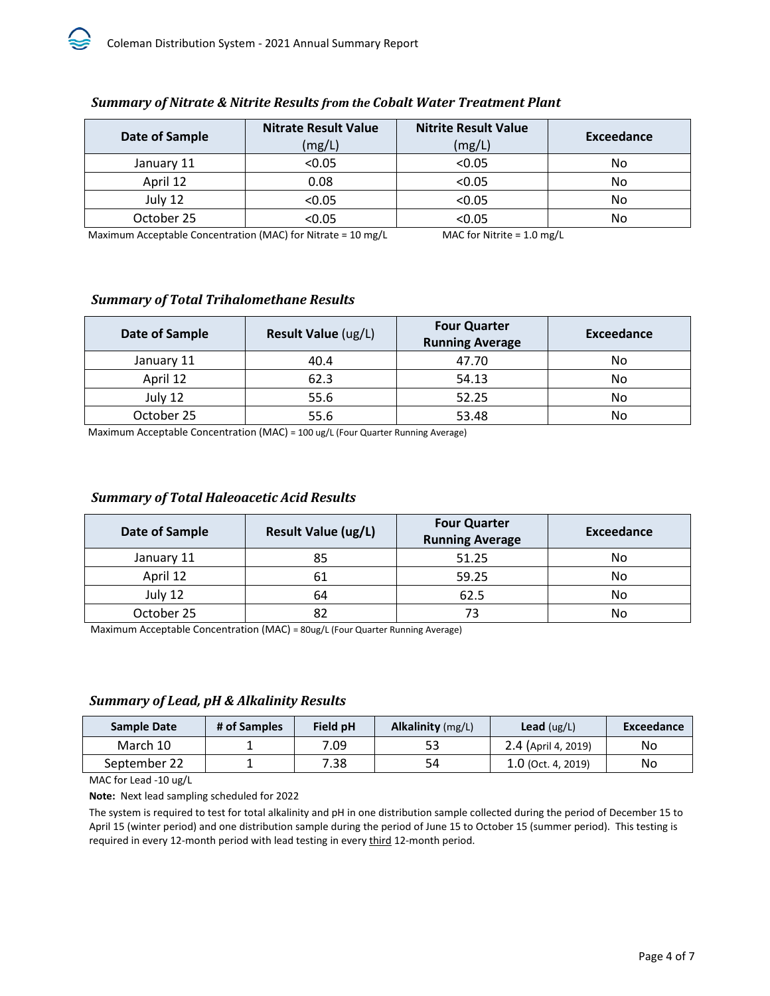| Date of Sample | <b>Nitrate Result Value</b><br>(mg/L) | <b>Nitrite Result Value</b><br>(mg/L) | Exceedance |
|----------------|---------------------------------------|---------------------------------------|------------|
| January 11     | < 0.05                                | < 0.05                                | No         |
| April 12       | 0.08                                  | < 0.05                                | No         |
| July 12        | < 0.05                                | < 0.05                                | No         |
| October 25     | $<$ 0.05                              | < 0.05                                | No         |

### <span id="page-8-0"></span>*Summary of Nitrate & Nitrite Results from the Cobalt Water Treatment Plant*

Maximum Acceptable Concentration (MAC) for Nitrate = 10 mg/L MAC for Nitrite = 1.0 mg/L

## <span id="page-8-1"></span>*Summary of Total Trihalomethane Results*

| Date of Sample | Result Value (ug/L) | <b>Four Quarter</b><br><b>Running Average</b> | Exceedance |
|----------------|---------------------|-----------------------------------------------|------------|
| January 11     | 40.4                | 47.70                                         | No         |
| April 12       | 62.3                | 54.13                                         | No         |
| July 12        | 55.6                | 52.25                                         | No         |
| October 25     | 55.6                | 53.48                                         | No         |

Maximum Acceptable Concentration (MAC) = 100 ug/L (Four Quarter Running Average)

## <span id="page-8-2"></span>*Summary of Total Haleoacetic Acid Results*

| Date of Sample | <b>Result Value (ug/L)</b> | <b>Four Quarter</b><br><b>Running Average</b> | <b>Exceedance</b> |
|----------------|----------------------------|-----------------------------------------------|-------------------|
| January 11     | 85                         | 51.25                                         | No                |
| April 12       | 61                         | 59.25                                         | No                |
| July 12        | 64                         | 62.5                                          | No                |
| October 25     |                            | 73                                            | No                |

Maximum Acceptable Concentration (MAC) = 80ug/L (Four Quarter Running Average)

#### <span id="page-8-3"></span>*Summary of Lead, pH & Alkalinity Results*

| # of Samples | <b>Field pH</b> | <b>Alkalinity</b> $(mg/L)$ | <b>Lead</b> ( $\text{ug/L}$ ) | Exceedance |
|--------------|-----------------|----------------------------|-------------------------------|------------|
|              | 7.09            | 53                         | 2.4 (April 4, 2019)           | No         |
|              | 7.38            | 54                         | $1.0$ (Oct. 4, 2019)          | No         |
|              |                 |                            |                               |            |

MAC for Lead -10 ug/L

**Note:** Next lead sampling scheduled for 2022

The system is required to test for total alkalinity and pH in one distribution sample collected during the period of December 15 to April 15 (winter period) and one distribution sample during the period of June 15 to October 15 (summer period). This testing is required in every 12-month period with lead testing in every third 12-month period.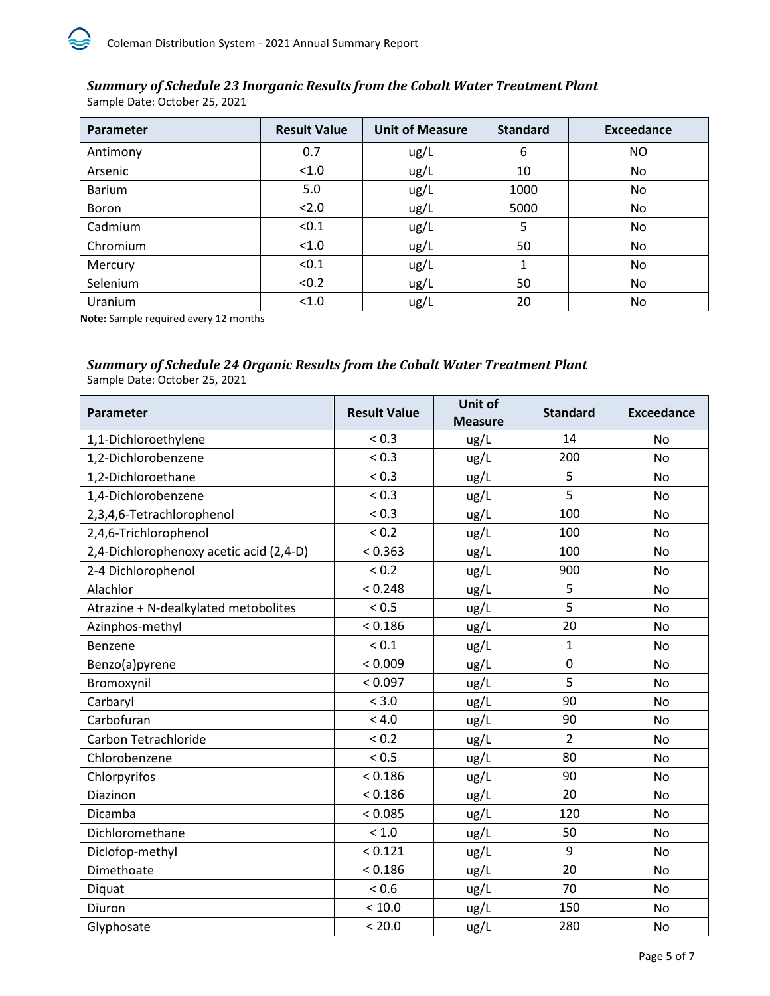<span id="page-9-0"></span>*Summary of Schedule 23 Inorganic Results from the Cobalt Water Treatment Plant* Sample Date: October 25, 2021

| Parameter     | <b>Result Value</b> | <b>Unit of Measure</b> | <b>Standard</b> | <b>Exceedance</b> |
|---------------|---------------------|------------------------|-----------------|-------------------|
| Antimony      | 0.7                 | ug/L                   | 6               | NO.               |
| Arsenic       | < 1.0               | ug/L                   | 10              | No.               |
| <b>Barium</b> | 5.0                 | ug/L                   | 1000            | No                |
| <b>Boron</b>  | 2.0                 | ug/L                   | 5000            | No.               |
| Cadmium       | < 0.1               | ug/L                   | 5               | No                |
| Chromium      | < 1.0               | ug/L                   | 50              | No.               |
| Mercury       | < 0.1               | ug/L                   | 1               | No.               |
| Selenium      | < 0.2               | ug/L                   | 50              | No.               |
| Uranium       | < 1.0               | ug/l                   | 20              | No                |

**Note:** Sample required every 12 months

## <span id="page-9-1"></span>*Summary of Schedule 24 Organic Results from the Cobalt Water Treatment Plant*

Sample Date: October 25, 2021

| Parameter                               | <b>Result Value</b> | <b>Unit of</b><br><b>Measure</b> | <b>Standard</b> | <b>Exceedance</b> |
|-----------------------------------------|---------------------|----------------------------------|-----------------|-------------------|
| 1,1-Dichloroethylene                    | ${}_{0.3}$          | ug/L                             | 14              | <b>No</b>         |
| 1,2-Dichlorobenzene                     | ${}_{0.3}$          | ug/L                             | 200             | <b>No</b>         |
| 1,2-Dichloroethane                      | ${}_{0.3}$          | ug/L                             | 5               | <b>No</b>         |
| 1,4-Dichlorobenzene                     | ${}_{0.3}$          | ug/L                             | 5               | N <sub>o</sub>    |
| 2,3,4,6-Tetrachlorophenol               | ${}_{0.3}$          | ug/L                             | 100             | <b>No</b>         |
| 2,4,6-Trichlorophenol                   | < 0.2               | ug/L                             | 100             | <b>No</b>         |
| 2,4-Dichlorophenoxy acetic acid (2,4-D) | < 0.363             | ug/L                             | 100             | <b>No</b>         |
| 2-4 Dichlorophenol                      | ${}_{0.2}$          | ug/L                             | 900             | <b>No</b>         |
| Alachlor                                | < 0.248             | ug/L                             | 5               | No                |
| Atrazine + N-dealkylated metobolites    | < 0.5               | ug/L                             | 5               | <b>No</b>         |
| Azinphos-methyl                         | < 0.186             | ug/L                             | 20              | <b>No</b>         |
| Benzene                                 | ${}_{0.1}$          | ug/L                             | $\mathbf{1}$    | <b>No</b>         |
| Benzo(a)pyrene                          | < 0.009             | ug/L                             | 0               | <b>No</b>         |
| Bromoxynil                              | < 0.097             | ug/L                             | 5               | <b>No</b>         |
| Carbaryl                                | < 3.0               | ug/L                             | 90              | <b>No</b>         |
| Carbofuran                              | < 4.0               | ug/L                             | 90              | <b>No</b>         |
| Carbon Tetrachloride                    | ${}_{0.2}$          | ug/L                             | $\overline{2}$  | <b>No</b>         |
| Chlorobenzene                           | < 0.5               | ug/L                             | 80              | <b>No</b>         |
| Chlorpyrifos                            | < 0.186             | ug/L                             | 90              | No                |
| Diazinon                                | < 0.186             | ug/L                             | 20              | <b>No</b>         |
| Dicamba                                 | < 0.085             | ug/L                             | 120             | <b>No</b>         |
| Dichloromethane                         | < 1.0               | ug/L                             | 50              | No                |
| Diclofop-methyl                         | < 0.121             | ug/L                             | 9               | <b>No</b>         |
| Dimethoate                              | < 0.186             | ug/L                             | 20              | No                |
| Diquat                                  | < 0.6               | ug/L                             | 70              | <b>No</b>         |
| Diuron                                  | < 10.0              | ug/L                             | 150             | <b>No</b>         |
| Glyphosate                              | < 20.0              | ug/L                             | 280             | No                |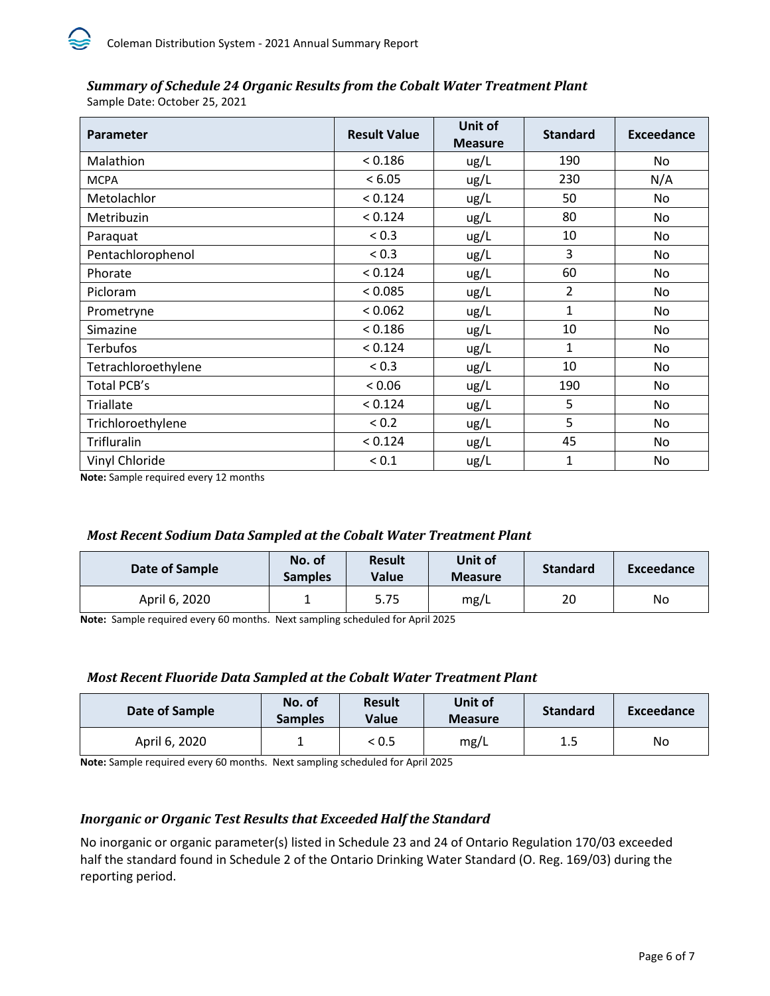## *Summary of Schedule 24 Organic Results from the Cobalt Water Treatment Plant*

Sample Date: October 25, 2021

| Parameter           | <b>Result Value</b> | Unit of<br><b>Measure</b> | <b>Standard</b> | Exceedance |
|---------------------|---------------------|---------------------------|-----------------|------------|
| Malathion           | < 0.186             | ug/L                      | 190             | No         |
| <b>MCPA</b>         | < 6.05              | ug/L                      | 230             | N/A        |
| Metolachlor         | < 0.124             | ug/L                      | 50              | No         |
| Metribuzin          | < 0.124             | ug/L                      | 80              | No         |
| Paraquat            | ${}_{0.3}$          | ug/L                      | 10              | No         |
| Pentachlorophenol   | < 0.3               | ug/L                      | 3               | No         |
| Phorate             | < 0.124             | ug/L                      | 60              | No         |
| Picloram            | < 0.085             | ug/L                      | $\overline{2}$  | No         |
| Prometryne          | < 0.062             | ug/L                      | 1               | No         |
| Simazine            | < 0.186             | ug/L                      | 10              | No         |
| <b>Terbufos</b>     | < 0.124             | ug/L                      | 1               | No         |
| Tetrachloroethylene | ${}_{0.3}$          | ug/L                      | 10              | No         |
| Total PCB's         | < 0.06              | ug/L                      | 190             | No         |
| Triallate           | < 0.124             | ug/L                      | 5               | No         |
| Trichloroethylene   | ${}_{0.2}$          | ug/L                      | 5               | No         |
| Trifluralin         | < 0.124             | ug/L                      | 45              | No         |
| Vinyl Chloride      | ${}_{0.1}$          | ug/L                      | 1               | <b>No</b>  |

**Note:** Sample required every 12 months

## <span id="page-10-0"></span>*Most Recent Sodium Data Sampled at the Cobalt Water Treatment Plant*

| Date of Sample | No. of<br><b>Samples</b> | <b>Result</b><br>Value | Unit of<br><b>Measure</b> | <b>Standard</b> | Exceedance |
|----------------|--------------------------|------------------------|---------------------------|-----------------|------------|
| April 6, 2020  |                          | 5.75                   | mg/L                      | 20              | No         |

**Note:** Sample required every 60 months. Next sampling scheduled for April 2025

## <span id="page-10-1"></span>*Most Recent Fluoride Data Sampled at the Cobalt Water Treatment Plant*

| Date of Sample | No. of<br><b>Samples</b> | <b>Result</b><br><b>Value</b> | Unit of<br><b>Measure</b> | <b>Standard</b> | Exceedance |
|----------------|--------------------------|-------------------------------|---------------------------|-----------------|------------|
| April 6, 2020  |                          | < 0.5                         | mg/L                      | 1.5             | No.        |

**Note:** Sample required every 60 months. Next sampling scheduled for April 2025

## <span id="page-10-2"></span>*Inorganic or Organic Test Results that Exceeded Half the Standard*

No inorganic or organic parameter(s) listed in Schedule 23 and 24 of Ontario Regulation 170/03 exceeded half the standard found in Schedule 2 of the Ontario Drinking Water Standard (O. Reg. 169/03) during the reporting period.